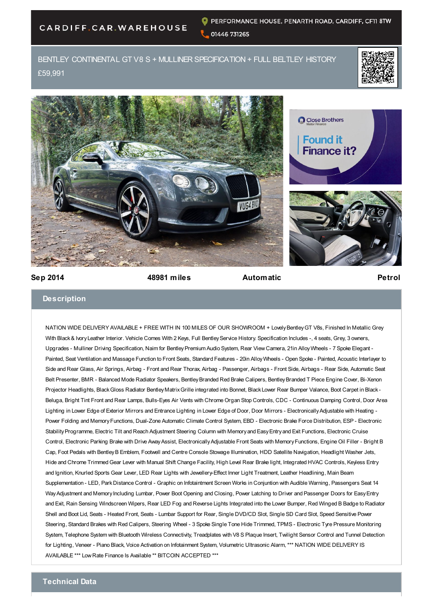## CARDIFF.CAR.WAREHOUSE

BENTLEY CONTINENTAL GT V8 S + MULLINER SPECIFICATION + FULL BELTLEY HISTORY £59,991







**Sep 2014 48981 miles Automatic Petrol**

## **Description**

NATION WIDE DELIVERY AVAILABLE + FREE WITH IN 100 MILES OF OUR SHOWROOM + Lovely Bentley GT V8s, Finished In Metallic Grey With Black & Ivory Leather Interior. Vehicle Comes With 2 Keys, Full Bentley Service History. Specification Includes -, 4 seats, Grey, 3 owners, Upgrades - Mulliner Driving Specification, Naim for Bentley Premium Audio System, Rear View Camera, 21in Alloy Wheels - 7 Spoke Elegant - Painted, Seat Ventilation and Massage Function to Front Seats, Standard Features - 20in Alloy Wheels - Open Spoke - Painted, Acoustic Interlayer to Side and Rear Glass, Air Springs, Airbag - Front and Rear Thorax, Airbag - Passenger, Airbags - Front Side, Airbags - Rear Side, Automatic Seat Belt Presenter, BMR - Balanced Mode Radiator Speakers, Bentley Branded Red Brake Calipers, Bentley Branded T Piece Engine Cover, Bi-Xenon Projector Headlights, Black Gloss Radiator Bentley Matrix Grille integrated into Bonnet, Black Lower Rear Bumper Valance, Boot Carpet in Black - Beluga, Bright Tint Front and Rear Lamps, Bulls-Eyes Air Vents with Chrome Organ Stop Controls, CDC - Continuous Damping Control, Door Area Lighting in Lower Edge of Exterior Mirrors and Entrance Lighting in Lower Edge of Door, Door Mirrors - Electronically Adjustable with Heating - Power Folding and Memory Functions, Dual-Zone Automatic Climate Control System, EBD - Electronic Brake Force Distribution, ESP - Electronic Stability Programme, Electric Tilt and Reach Adjustment Steering Column with Memory and Easy Entry and Exit Functions, Electronic Cruise Control, Electronic Parking Brake with Drive Away Assist, Electronically Adjustable Front Seats with Memory Functions, Engine Oil Filler - Bright B Cap, Foot Pedals with Bentley B Emblem, Footwell and Centre Console Stowage Illumination, HDD Satellite Navigation, Headlight Washer Jets, Hide and Chrome Trimmed Gear Lever with Manual Shift Change Facility, High Level Rear Brake light, Integrated HVAC Controls, Keyless Entry and Ignition, Knurled Sports Gear Lever, LED Rear Lights with Jewellery-Effect Inner Light Treatment, Leather Headlining, Main Beam Supplementation - LED, Park Distance Control - Graphic on Infotaintment Screen Works in Conjuntion with Audible Warning, Passengers Seat 14 Way Adjustment and Memory Including Lumbar, Power Boot Opening and Closing, Power Latching to Driver and Passenger Doors for Easy Entry and Exit, Rain Sensing Windscreen Wipers, Rear LED Fog and Reverse Lights Integrated into the Lower Bumper, Red Winged B Badge to Radiator Shell and Boot Lid, Seats - Heated Front, Seats - Lumbar Support for Rear, Single DVD/CD Slot, Single SD Card Slot, Speed Sensitive Power Steering, Standard Brakes with Red Calipers, Steering Wheel - 3 Spoke Single Tone Hide Trimmed, TPMS - Electronic Tyre Pressure Monitoring System, Telephone System with Bluetooth Wireless Connectivity, Treadplates with V8 S Plaque Insert, Twilight Sensor Control and Tunnel Detection for Lighting, Veneer - Piano Black, Voice Activation on Infotainment System, Volumetric Ultrasonic Alarm, \*\*\* NATION WIDE DELIVERY IS AVAILABLE \*\*\* Low Rate Finance Is Available \*\* BITCOIN ACCEPTED \*\*\*